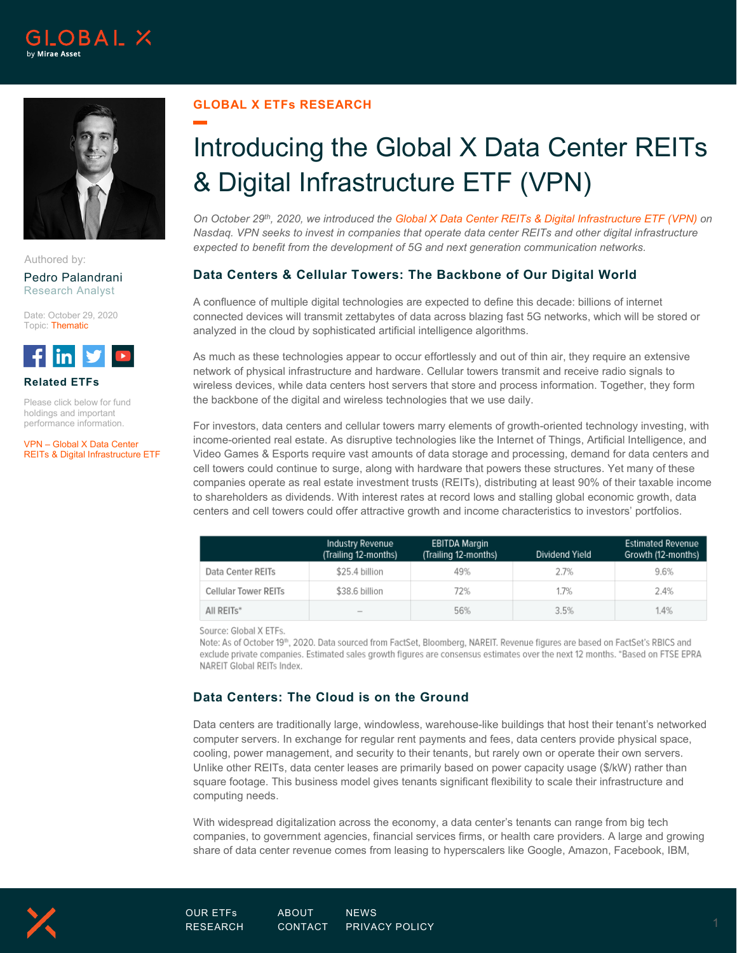



Authored by: Pedro Palandrani

Research Analyst

Date: October 29, 2020 Topic: Thematic



**Related ETFs**

Please click below for fund holdings and important performance information.

VPN – [Global X Data Center](http://www.globalxetfs.com/funds/vpn)  [REITs & Digital Infrastructure ETF](http://www.globalxetfs.com/funds/vpn)

## **GLOBAL X ETFs RESEARCH**

# Introducing the Global X Data Center REITs & Digital Infrastructure ETF (VPN)

*On October 29th, 2020, we introduced the [Global X Data Center REITs & Digital Infrastructure ETF \(VPN\)](http://www.globalxetfs.com/funds/vpn) on Nasdaq. VPN seeks to invest in companies that operate data center REITs and other digital infrastructure expected to benefit from the development of 5G and next generation communication networks.*

## **Data Centers & Cellular Towers: The Backbone of Our Digital World**

A confluence of multiple digital technologies are expected to define this decade: billions of internet connected devices will transmit zettabytes of data across blazing fast 5G networks, which will be stored or analyzed in the cloud by sophisticated artificial intelligence algorithms.

As much as these technologies appear to occur effortlessly and out of thin air, they require an extensive network of physical infrastructure and hardware. Cellular towers transmit and receive radio signals to wireless devices, while data centers host servers that store and process information. Together, they form the backbone of the digital and wireless technologies that we use daily.

For investors, data centers and cellular towers marry elements of growth-oriented technology investing, with income-oriented real estate. As disruptive technologies like the Internet of Things, Artificial Intelligence, and Video Games & Esports require vast amounts of data storage and processing, demand for data centers and cell towers could continue to surge, along with hardware that powers these structures. Yet many of these companies operate as real estate investment trusts (REITs), distributing at least 90% of their taxable income to shareholders as dividends. With interest rates at record lows and stalling global economic growth, data centers and cell towers could offer attractive growth and income characteristics to investors' portfolios.

|                      | Industry Revenue<br>(Trailing 12-months) | <b>EBITDA Margin</b><br>(Trailing 12-months) | Dividend Yield | <b>Estimated Revenue</b><br>Growth (12-months) |
|----------------------|------------------------------------------|----------------------------------------------|----------------|------------------------------------------------|
| Data Center REITs    | \$25.4 billion                           | 49%                                          | 2.7%           | 9.6%                                           |
| Cellular Tower REITs | \$38.6 billion                           | 72%                                          | 1.7%           | 2.4%                                           |
| All REITs*           | $\frac{1}{2}$                            | 56%                                          | 3.5%           | 1.4%                                           |

Source: Global X ETFs.

Note: As of October 19<sup>th</sup>, 2020. Data sourced from FactSet, Bloomberg, NAREIT. Revenue figures are based on FactSet's RBICS and exclude private companies. Estimated sales growth figures are consensus estimates over the next 12 months. \*Based on FTSE EPRA NAREIT Global REITs Index.

# **Data Centers: The Cloud is on the Ground**

Data centers are traditionally large, windowless, warehouse-like buildings that host their tenant's networked computer servers. In exchange for regular rent payments and fees, data centers provide physical space, cooling, power management, and security to their tenants, but rarely own or operate their own servers. Unlike other REITs, data center leases are primarily based on power capacity usage (\$/kW) rather than square footage. This business model gives tenants significant flexibility to scale their infrastructure and computing needs.

With widespread digitalization across the economy, a data center's tenants can range from big tech companies, to government agencies, financial services firms, or health care providers. A large and growing share of data center revenue comes from leasing to hyperscalers like Google, Amazon, Facebook, IBM,

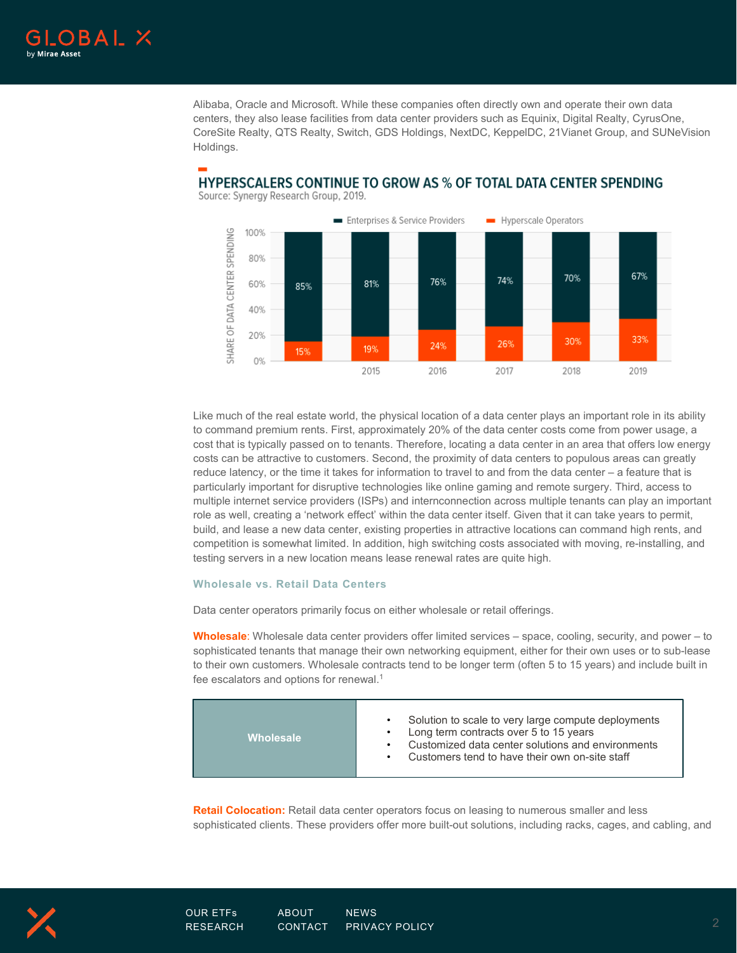

Alibaba, Oracle and Microsoft. While these companies often directly own and operate their own data centers, they also lease facilities from data center providers such as Equinix, Digital Realty, CyrusOne, CoreSite Realty, QTS Realty, Switch, GDS Holdings, NextDC, KeppelDC, 21Vianet Group, and SUNeVision Holdings.



#### **HYPERSCALERS CONTINUE TO GROW AS % OF TOTAL DATA CENTER SPENDING** Source: Synergy Research Group, 2019.

Like much of the real estate world, the physical location of a data center plays an important role in its ability to command premium rents. First, approximately 20% of the data center costs come from power usage, a cost that is typically passed on to tenants. Therefore, locating a data center in an area that offers low energy costs can be attractive to customers. Second, the proximity of data centers to populous areas can greatly reduce latency, or the time it takes for information to travel to and from the data center – a feature that is particularly important for disruptive technologies like online gaming and remote surgery. Third, access to multiple internet service providers (ISPs) and internconnection across multiple tenants can play an important role as well, creating a 'network effect' within the data center itself. Given that it can take years to permit, build, and lease a new data center, existing properties in attractive locations can command high rents, and competition is somewhat limited. In addition, high switching costs associated with moving, re-installing, and testing servers in a new location means lease renewal rates are quite high.

#### **Wholesale vs. Retail Data Centers**

Data center operators primarily focus on either wholesale or retail offerings.

**Wholesale**: Wholesale data center providers offer limited services – space, cooling, security, and power – to sophisticated tenants that manage their own networking equipment, either for their own uses or to sub-lease to their own customers. Wholesale contracts tend to be longer term (often 5 to 15 years) and include built in fee escalators and options for renewal. 1

| <b>Wholesale</b> | Solution to scale to very large compute deployments<br>Long term contracts over 5 to 15 years<br>Customized data center solutions and environments<br>Customers tend to have their own on-site staff |
|------------------|------------------------------------------------------------------------------------------------------------------------------------------------------------------------------------------------------|
|------------------|------------------------------------------------------------------------------------------------------------------------------------------------------------------------------------------------------|

**Retail Colocation:** Retail data center operators focus on leasing to numerous smaller and less sophisticated clients. These providers offer more built-out solutions, including racks, cages, and cabling, and

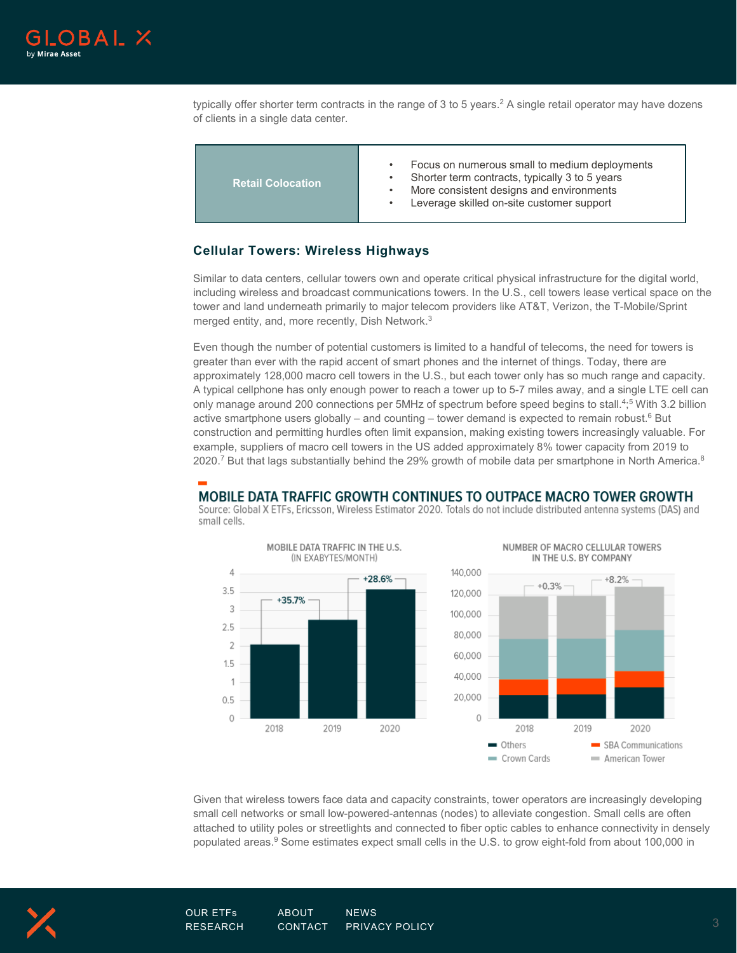

typically offer shorter term contracts in the range of 3 to 5 years. <sup>2</sup> A single retail operator may have dozens of clients in a single data center.

| <b>Retail Colocation</b> | Focus on numerous small to medium deployments<br>$\bullet$<br>Shorter term contracts, typically 3 to 5 years<br>More consistent designs and environments<br>$\bullet$<br>Leverage skilled on-site customer support |
|--------------------------|--------------------------------------------------------------------------------------------------------------------------------------------------------------------------------------------------------------------|
|--------------------------|--------------------------------------------------------------------------------------------------------------------------------------------------------------------------------------------------------------------|

#### **Cellular Towers: Wireless Highways**

Similar to data centers, cellular towers own and operate critical physical infrastructure for the digital world, including wireless and broadcast communications towers. In the U.S., cell towers lease vertical space on the tower and land underneath primarily to major telecom providers like AT&T, Verizon, the T-Mobile/Sprint merged entity, and, more recently, Dish Network. 3

Even though the number of potential customers is limited to a handful of telecoms, the need for towers is greater than ever with the rapid accent of smart phones and the internet of things. Today, there are approximately 128,000 macro cell towers in the U.S., but each tower only has so much range and capacity. A typical cellphone has only enough power to reach a tower up to 5-7 miles away, and a single LTE cell can only manage around 200 connections per 5MHz of spectrum before speed begins to stall. 4; <sup>5</sup> With 3.2 billion active smartphone users globally – and counting – tower demand is expected to remain robust.<sup>6</sup> But construction and permitting hurdles often limit expansion, making existing towers increasingly valuable. For example, suppliers of macro cell towers in the US added approximately 8% tower capacity from 2019 to 2020.<sup>7</sup> But that lags substantially behind the 29% growth of mobile data per smartphone in North America.<sup>8</sup>

## MOBILE DATA TRAFFIC GROWTH CONTINUES TO OUTPACE MACRO TOWER GROWTH

Source: Global X ETFs, Ericsson, Wireless Estimator 2020. Totals do not include distributed antenna systems (DAS) and small cells.







Given that wireless towers face data and capacity constraints, tower operators are increasingly developing small cell networks or small low-powered-antennas (nodes) to alleviate congestion. Small cells are often attached to utility poles or streetlights and connected to fiber optic cables to enhance connectivity in densely populated areas.<sup>9</sup> Some estimates expect small cells in the U.S. to grow eight-fold from about 100,000 in

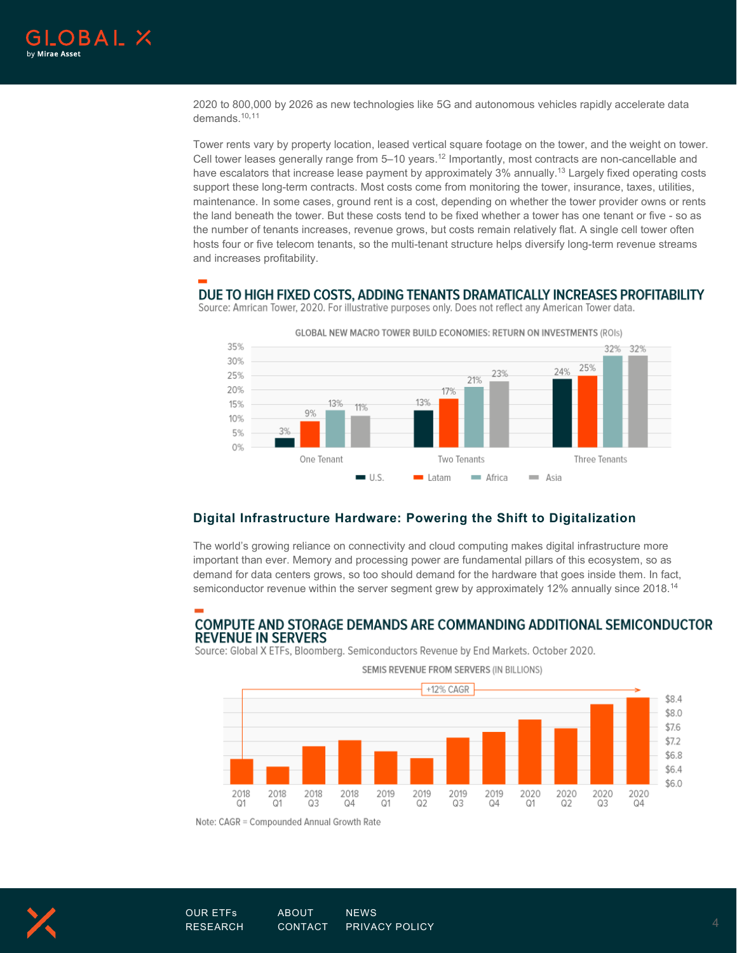

2020 to 800,000 by 2026 as new technologies like 5G and autonomous vehicles rapidly accelerate data demands. 10,11

Tower rents vary by property location, leased vertical square footage on the tower, and the weight on tower. Cell tower leases generally range from 5–10 years. <sup>12</sup> Importantly, most contracts are non-cancellable and have escalators that increase lease payment by approximately 3% annually.<sup>13</sup> Largely fixed operating costs support these long-term contracts. Most costs come from monitoring the tower, insurance, taxes, utilities, maintenance. In some cases, ground rent is a cost, depending on whether the tower provider owns or rents the land beneath the tower. But these costs tend to be fixed whether a tower has one tenant or five - so as the number of tenants increases, revenue grows, but costs remain relatively flat. A single cell tower often hosts four or five telecom tenants, so the multi-tenant structure helps diversify long-term revenue streams and increases profitability.

#### DUE TO HIGH FIXED COSTS, ADDING TENANTS DRAMATICALLY INCREASES PROFITABILITY



Source: Amrican Tower, 2020. For illustrative purposes only. Does not reflect any American Tower data.

#### **Digital Infrastructure Hardware: Powering the Shift to Digitalization**

The world's growing reliance on connectivity and cloud computing makes digital infrastructure more important than ever. Memory and processing power are fundamental pillars of this ecosystem, so as demand for data centers grows, so too should demand for the hardware that goes inside them. In fact, semiconductor revenue within the server segment grew by approximately 12% annually since 2018. $^{\rm 14}$ 

## **COMPUTE AND STORAGE DEMANDS ARE COMMANDING ADDITIONAL SEMICONDUCTOR REVENUE IN SERVERS**

Source: Global X ETFs, Bloomberg. Semiconductors Revenue by End Markets. October 2020.



Note: CAGR = Compounded Annual Growth Rate



[OUR ETFs](https://www.globalxetfs.com/) [ABOUT](https://www.globalxetfs.com/about/) [NEWS](https://www.globalxetfs.com/news/)  $\tt RESEARCH$  $\tt RESEARCH$   $\tt CONTACT$  $\tt CONTACT$   $\tt PRIVACY$   $\tt POLICY$   $\tt 1.33$   $\tt 4.4$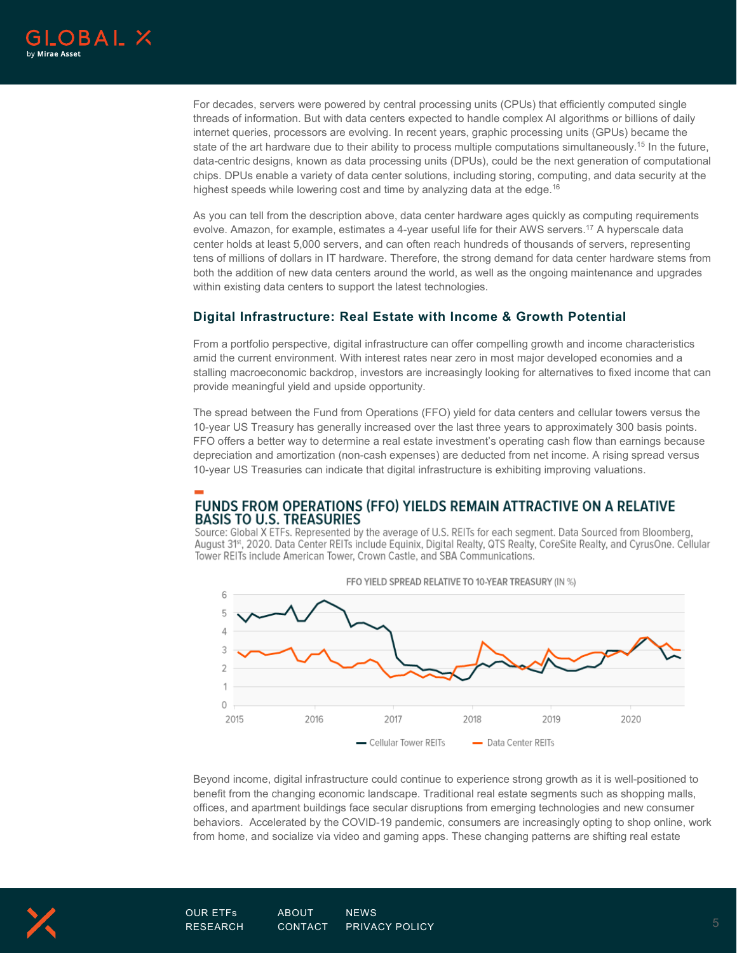

For decades, servers were powered by central processing units (CPUs) that efficiently computed single threads of information. But with data centers expected to handle complex AI algorithms or billions of daily internet queries, processors are evolving. In recent years, graphic processing units (GPUs) became the state of the art hardware due to their ability to process multiple computations simultaneously.<sup>15</sup> In the future, data-centric designs, known as data processing units (DPUs), could be the next generation of computational chips. DPUs enable a variety of data center solutions, including storing, computing, and data security at the highest speeds while lowering cost and time by analyzing data at the edge. 16

As you can tell from the description above, data center hardware ages quickly as computing requirements evolve. Amazon, for example, estimates a 4-year useful life for their AWS servers. <sup>17</sup> A hyperscale data center holds at least 5,000 servers, and can often reach hundreds of thousands of servers, representing tens of millions of dollars in IT hardware. Therefore, the strong demand for data center hardware stems from both the addition of new data centers around the world, as well as the ongoing maintenance and upgrades within existing data centers to support the latest technologies.

#### **Digital Infrastructure: Real Estate with Income & Growth Potential**

From a portfolio perspective, digital infrastructure can offer compelling growth and income characteristics amid the current environment. With interest rates near zero in most major developed economies and a stalling macroeconomic backdrop, investors are increasingly looking for alternatives to fixed income that can provide meaningful yield and upside opportunity.

The spread between the Fund from Operations (FFO) yield for data centers and cellular towers versus the 10-year US Treasury has generally increased over the last three years to approximately 300 basis points. FFO offers a better way to determine a real estate investment's operating cash flow than earnings because depreciation and amortization (non-cash expenses) are deducted from net income. A rising spread versus 10-year US Treasuries can indicate that digital infrastructure is exhibiting improving valuations.

## FUNDS FROM OPERATIONS (FFO) YIELDS REMAIN ATTRACTIVE ON A RELATIVE **BASIS TO U.S. TREASURIES**

Source: Global X ETFs. Represented by the average of U.S. REITs for each segment. Data Sourced from Bloomberg, August 31<sup>st</sup>, 2020. Data Center REITs include Equinix, Digital Realty, QTS Realty, CoreSite Realty, and CyrusOne. Cellular Tower REITs include American Tower, Crown Castle, and SBA Communications.



Beyond income, digital infrastructure could continue to experience strong growth as it is well-positioned to benefit from the changing economic landscape. Traditional real estate segments such as shopping malls, offices, and apartment buildings face secular disruptions from emerging technologies and new consumer behaviors. Accelerated by the COVID-19 pandemic, consumers are increasingly opting to shop online, work from home, and socialize via video and gaming apps. These changing patterns are shifting real estate

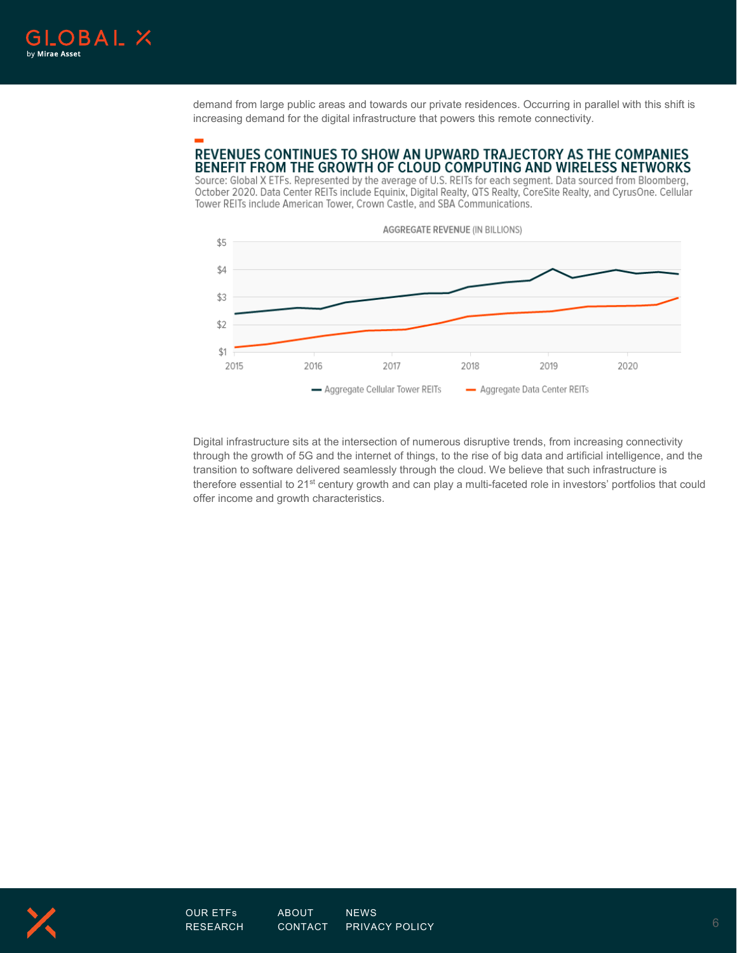

demand from large public areas and towards our private residences. Occurring in parallel with this shift is increasing demand for the digital infrastructure that powers this remote connectivity.

## REVENUES CONTINUES TO SHOW AN UPWARD TRAJECTORY AS THE COMPANIES BENEFIT FROM THE GROWTH OF CLOUD COMPUTING AND WIRELESS NETWORKS

Source: Global X ETFs. Represented by the average of U.S. REITs for each segment. Data sourced from Bloomberg, October 2020. Data Center REITs include Equinix, Digital Realty, QTS Realty, CoreSite Realty, and CyrusOne. Cellular Tower REITs include American Tower, Crown Castle, and SBA Communications.



Digital infrastructure sits at the intersection of numerous disruptive trends, from increasing connectivity through the growth of 5G and the internet of things, to the rise of big data and artificial intelligence, and the transition to software delivered seamlessly through the cloud. We believe that such infrastructure is therefore essential to 21<sup>st</sup> century growth and can play a multi-faceted role in investors' portfolios that could offer income and growth characteristics.